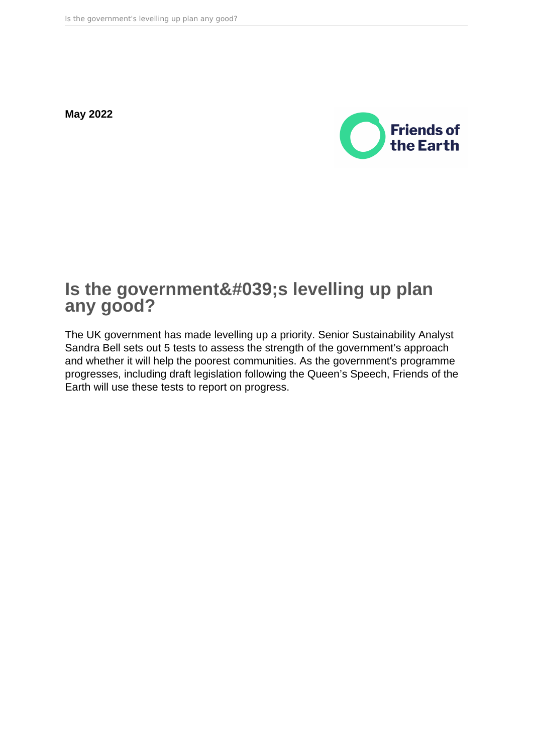**May 2022**



# **Is the government's levelling up plan any good?**

The UK government has made levelling up a priority. Senior Sustainability Analyst Sandra Bell sets out 5 tests to assess the strength of the government's approach and whether it will help the poorest communities. As the government's programme progresses, including draft legislation following the Queen's Speech, Friends of the Earth will use these tests to report on progress.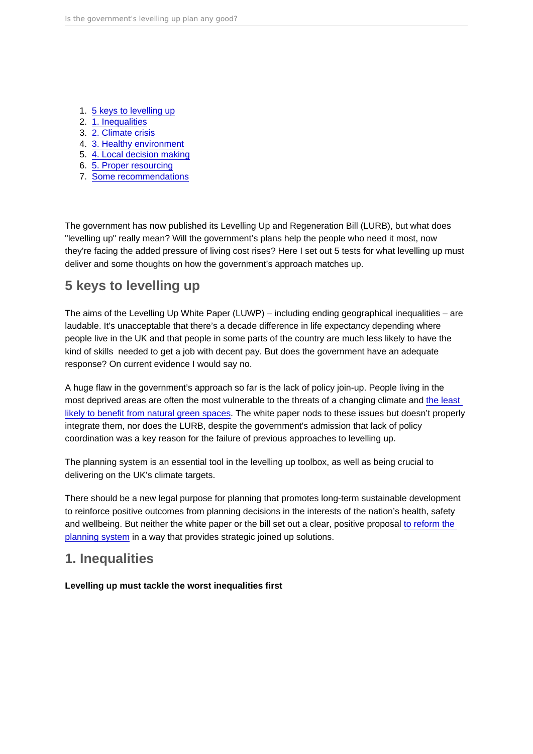- 1. 5 keys to levelling up
- 2. 1. Inequalities
- 3. [2. Climate crisis](#page-3-0)
- 4. [3. Healthy environment](#page-5-0)
- 5. [4. Local decision making](#page-8-0)
- 6. [5. Proper resourcing](#page-9-0)
- 7. [Some recommendations](#page-10-0)

The government has now published its Levelling Up and Regeneration Bill (LURB), but what does "levelling up" really mean? Will the government's plans help the people who need it most, now they're facing the added pressure of living cost rises? Here I set out 5 tests for what levelling up must deliver and some thoughts on how the government's approach matches up.

### 5 keys to levelling up

The aims of the Levelling Up White Paper (LUWP) – including ending geographical inequalities – are laudable. It's unacceptable that there's a decade difference in life expectancy depending where people live in the UK and that people in some parts of the country are much less likely to have the kind of skills needed to get a job with decent pay. But does the government have an adequate response? On current evidence I would say no.

A huge flaw in the government's approach so far is the lack of policy join-up. People living in the most deprived areas are often the most vulnerable to the threats of a changing climate and [the least](https://policy.friendsoftheearth.uk/insight/englands-green-space-gap)  [likely to benefit from natural green spaces.](https://policy.friendsoftheearth.uk/insight/englands-green-space-gap) The white paper nods to these issues but doesn't properly integrate them, nor does the LURB, despite the government's admission that lack of policy coordination was a key reason for the failure of previous approaches to levelling up.

The planning system is an essential tool in the levelling up toolbox, as well as being crucial to delivering on the UK's climate targets.

There should be a new legal purpose for planning that promotes long-term sustainable development to reinforce positive outcomes from planning decisions in the interests of the nation's health, safety and wellbeing. But neither the white paper or the bill set out a clear, positive proposal [to reform the](https://policy.friendsoftheearth.uk/insight/governments-latest-changes-planning-rules-are-far-reassuring)  [planning system](https://policy.friendsoftheearth.uk/insight/governments-latest-changes-planning-rules-are-far-reassuring) in a way that provides strategic joined up solutions.

### 1. Inequalities

Levelling up must tackle the worst inequalities first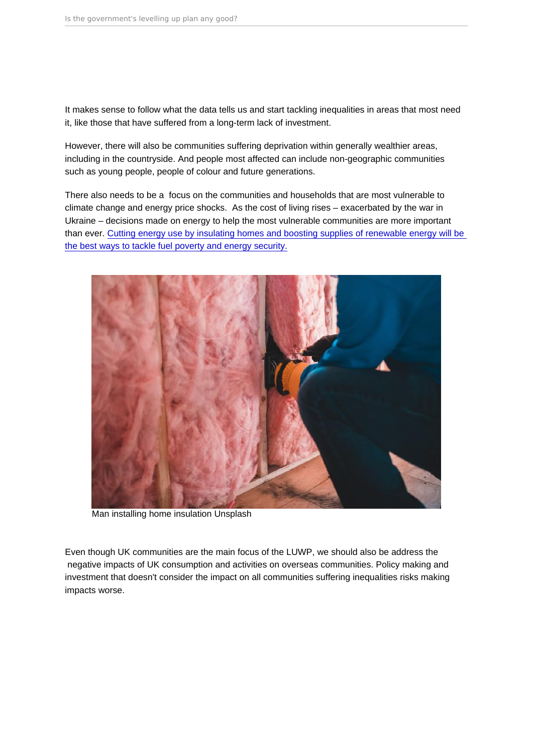It makes sense to follow what the data tells us and start tackling inequalities in areas that most need it, like those that have suffered from a long-term lack of investment.

However, there will also be communities suffering deprivation within generally wealthier areas, including in the countryside. And people most affected can include non-geographic communities such as young people, people of colour and future generations.

There also needs to be a focus on the communities and households that are most vulnerable to climate change and energy price shocks. As the cost of living rises – exacerbated by the war in Ukraine – decisions made on energy to help the most vulnerable communities are more important than ever. [Cutting energy use by insulating homes and boosting supplies of renewable energy will be](https://friendsoftheearth.uk/climate/how-can-uk-secure-affordable-energy-everyone)  [the best ways to tackle fuel poverty and energy security.](https://friendsoftheearth.uk/climate/how-can-uk-secure-affordable-energy-everyone)

Man installing home insulation Unsplash

Even though UK communities are the main focus of the LUWP, we should also be address the negative impacts of UK consumption and activities on overseas communities. Policy making and investment that doesn't consider the impact on all communities suffering inequalities risks making impacts worse.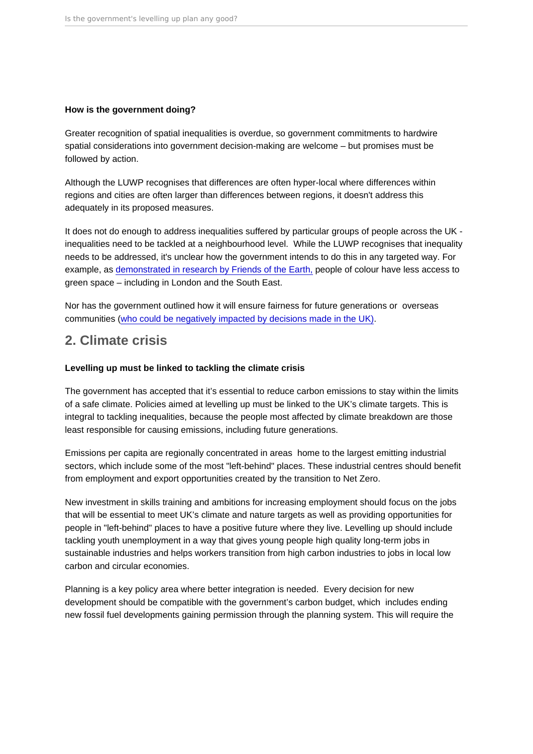<span id="page-3-0"></span>How is the government doing?

Greater recognition of spatial inequalities is overdue, so government commitments to hardwire spatial considerations into government decision-making are welcome – but promises must be followed by action.

Although the LUWP recognises that differences are often hyper-local where differences within regions and cities are often larger than differences between regions, it doesn't address this adequately in its proposed measures.

It does not do enough to address inequalities suffered by particular groups of people across the UK inequalities need to be tackled at a neighbourhood level. While the LUWP recognises that inequality needs to be addressed, it's unclear how the government intends to do this in any targeted way. For example, as [demonstrated in research by Friends of the Earth,](https://policy.friendsoftheearth.uk/insight/englands-green-space-gap) people of colour have less access to green space – including in London and the South East.

Nor has the government outlined how it will ensure fairness for future generations or overseas communities ([who could be negatively impacted by decisions made in the UK\).](https://friendsoftheearth.uk/climate/judge-rules-uk-government-decision-support-mega-gas-project-mozambique-unlawful)

### 2. Climate crisis

Levelling up must be linked to tackling the climate crisis

The government has accepted that it's essential to reduce carbon emissions to stay within the limits of a safe climate. Policies aimed at levelling up must be linked to the UK's climate targets. This is integral to tackling inequalities, because the people most affected by climate breakdown are those least responsible for causing emissions, including future generations.

Emissions per capita are regionally concentrated in areas home to the largest emitting industrial sectors, which include some of the most "left-behind" places. These industrial centres should benefit from employment and export opportunities created by the transition to Net Zero.

New investment in skills training and ambitions for increasing employment should focus on the jobs that will be essential to meet UK's climate and nature targets as well as providing opportunities for people in "left-behind" places to have a positive future where they live. Levelling up should include tackling youth unemployment in a way that gives young people high quality long-term jobs in sustainable industries and helps workers transition from high carbon industries to jobs in local low carbon and circular economies.

Planning is a key policy area where better integration is needed. Every decision for new development should be compatible with the government's carbon budget, which includes ending new fossil fuel developments gaining permission through the planning system. This will require the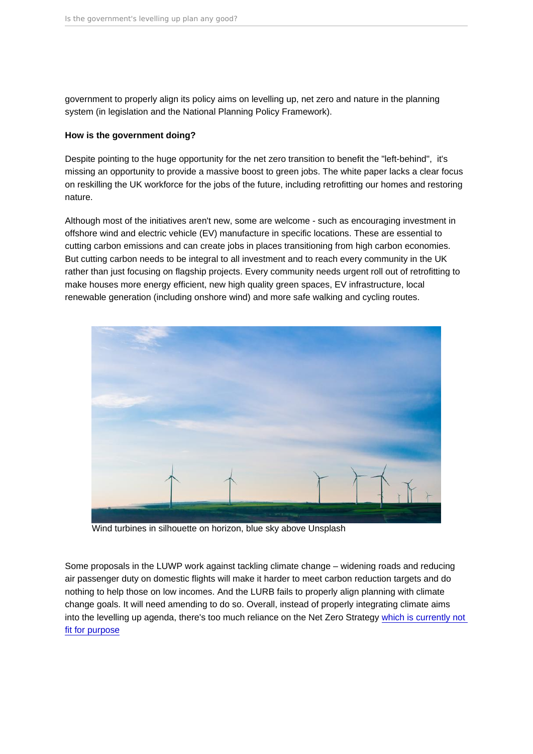government to properly align its policy aims on levelling up, net zero and nature in the planning system (in legislation and the National Planning Policy Framework).

How is the government doing?

Despite pointing to the huge opportunity for the net zero transition to benefit the "left-behind", it's missing an opportunity to provide a massive boost to green jobs. The white paper lacks a clear focus on reskilling the UK workforce for the jobs of the future, including retrofitting our homes and restoring nature.

Although most of the initiatives aren't new, some are welcome - such as encouraging investment in offshore wind and electric vehicle (EV) manufacture in specific locations. These are essential to cutting carbon emissions and can create jobs in places transitioning from high carbon economies. But cutting carbon needs to be integral to all investment and to reach every community in the UK rather than just focusing on flagship projects. Every community needs urgent roll out of retrofitting to make houses more energy efficient, new high quality green spaces, EV infrastructure, local renewable generation (including onshore wind) and more safe walking and cycling routes.

Wind turbines in silhouette on horizon, blue sky above Unsplash

Some proposals in the LUWP work against tackling climate change – widening roads and reducing air passenger duty on domestic flights will make it harder to meet carbon reduction targets and do nothing to help those on low incomes. And the LURB fails to properly align planning with climate change goals. It will need amending to do so. Overall, instead of properly integrating climate aims into the levelling up agenda, there's too much reliance on the Net Zero Strategy [which is currently not](https://friendsoftheearth.uk/climate/net-zero-strategy-legal-challenge-granted-permission)  [fit for purpose](https://friendsoftheearth.uk/climate/net-zero-strategy-legal-challenge-granted-permission)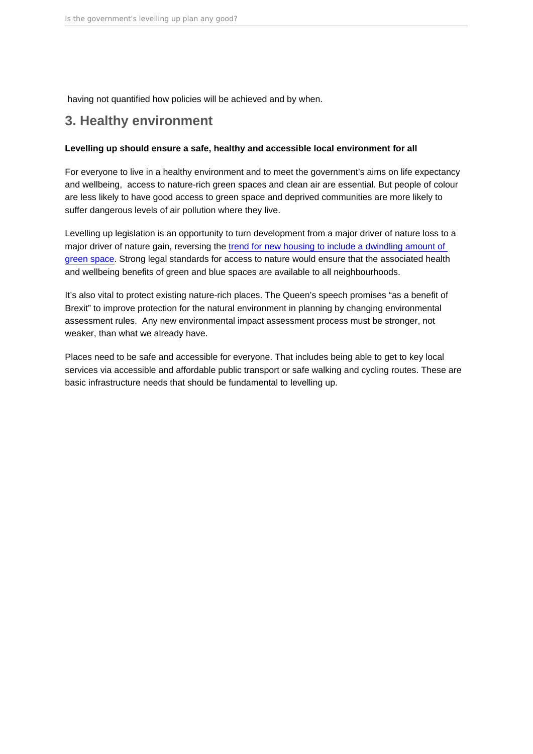<span id="page-5-0"></span>having not quantified how policies will be achieved and by when.

### 3. Healthy environment

Levelling up should ensure a safe, healthy and accessible local environment for all

For everyone to live in a healthy environment and to meet the government's aims on life expectancy and wellbeing, access to nature-rich green spaces and clean air are essential. But people of colour are less likely to have good access to green space and deprived communities are more likely to suffer dangerous levels of air pollution where they live.

Levelling up legislation is an opportunity to turn development from a major driver of nature loss to a major driver of nature gain, reversing the [trend for new housing to include a dwindling amount of](https://www.theguardian.com/cities/2022/may/03/green-space-decline-housing-developer-england-wales-plead-poverty-research-finds)  [green space.](https://www.theguardian.com/cities/2022/may/03/green-space-decline-housing-developer-england-wales-plead-poverty-research-finds) Strong legal standards for access to nature would ensure that the associated health and wellbeing benefits of green and blue spaces are available to all neighbourhoods.

It's also vital to protect existing nature-rich places. The Queen's speech promises "as a benefit of Brexit" to improve protection for the natural environment in planning by changing environmental assessment rules. Any new environmental impact assessment process must be stronger, not weaker, than what we already have.

Places need to be safe and accessible for everyone. That includes being able to get to key local services via accessible and affordable public transport or safe walking and cycling routes. These are basic infrastructure needs that should be fundamental to levelling up.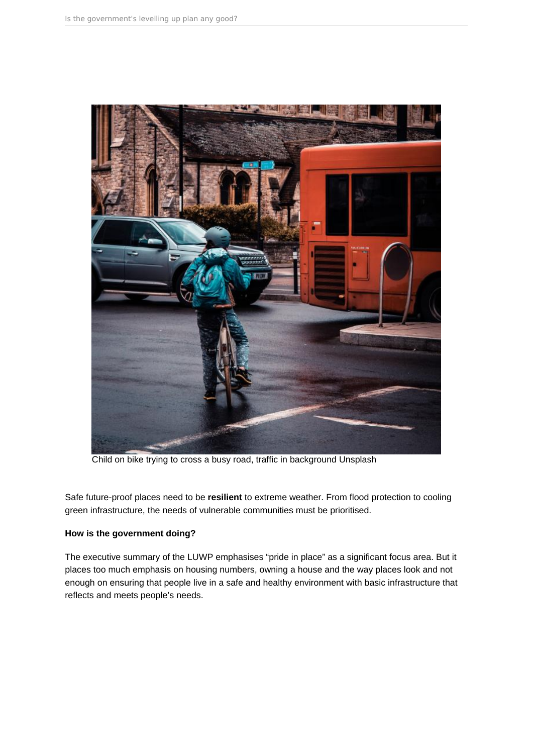

Child on bike trying to cross a busy road, traffic in background Unsplash

Safe future-proof places need to be **resilient** to extreme weather. From flood protection to cooling green infrastructure, the needs of vulnerable communities must be prioritised.

#### **How is the government doing?**

The executive summary of the LUWP emphasises "pride in place" as a significant focus area. But it places too much emphasis on housing numbers, owning a house and the way places look and not enough on ensuring that people live in a safe and healthy environment with basic infrastructure that reflects and meets people's needs.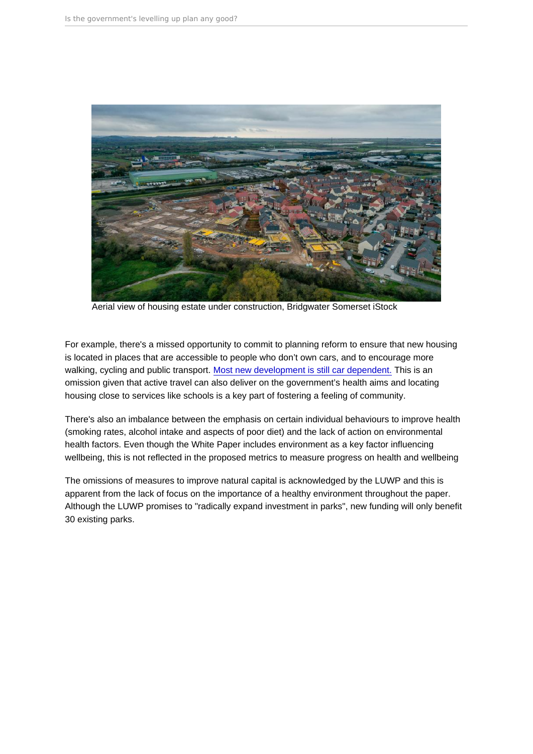Aerial view of housing estate under construction, Bridgwater Somerset iStock

For example, there's a missed opportunity to commit to planning reform to ensure that new housing is located in places that are accessible to people who don't own cars, and to encourage more walking, cycling and public transport. [Most new development is still car dependent.](https://www.transportfornewhomes.org.uk/the-project/building-car-dependency/) This is an omission given that active travel can also deliver on the government's health aims and locating housing close to services like schools is a key part of fostering a feeling of community.

There's also an imbalance between the emphasis on certain individual behaviours to improve health (smoking rates, alcohol intake and aspects of poor diet) and the lack of action on environmental health factors. Even though the White Paper includes environment as a key factor influencing wellbeing, this is not reflected in the proposed metrics to measure progress on health and wellbeing

The omissions of measures to improve natural capital is acknowledged by the LUWP and this is apparent from the lack of focus on the importance of a healthy environment throughout the paper. Although the LUWP promises to "radically expand investment in parks", new funding will only benefit 30 existing parks.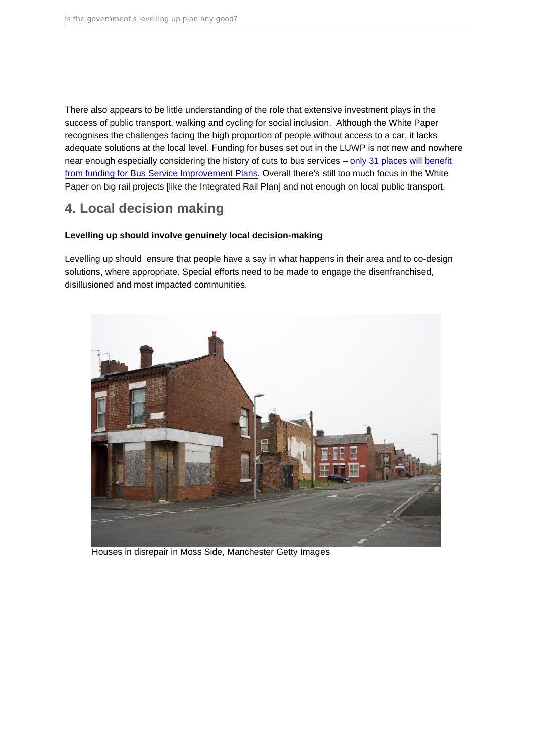<span id="page-8-0"></span>There also appears to be little understanding of the role that extensive investment plays in the success of public transport, walking and cycling for social inclusion. Although the White Paper recognises the challenges facing the high proportion of people without access to a car, it lacks adequate solutions at the local level. Funding for buses set out in the LUWP is not new and nowhere near enough especially considering the history of cuts to bus services – [only 31 places will benefit](https://bettertransport.org.uk/media/04-April-2022-Bus-funding-will-only-help-a-minority-of-places)  [from funding for Bus Service Improvement Plans.](https://bettertransport.org.uk/media/04-April-2022-Bus-funding-will-only-help-a-minority-of-places) Overall there's still too much focus in the White Paper on big rail projects [like the Integrated Rail Plan] and not enough on local public transport.

## 4. Local decision making

Levelling up should involve genuinely local decision-making

Levelling up should ensure that people have a say in what happens in their area and to co-design solutions, where appropriate. Special efforts need to be made to engage the disenfranchised, disillusioned and most impacted communities.

Houses in disrepair in Moss Side, Manchester Getty Images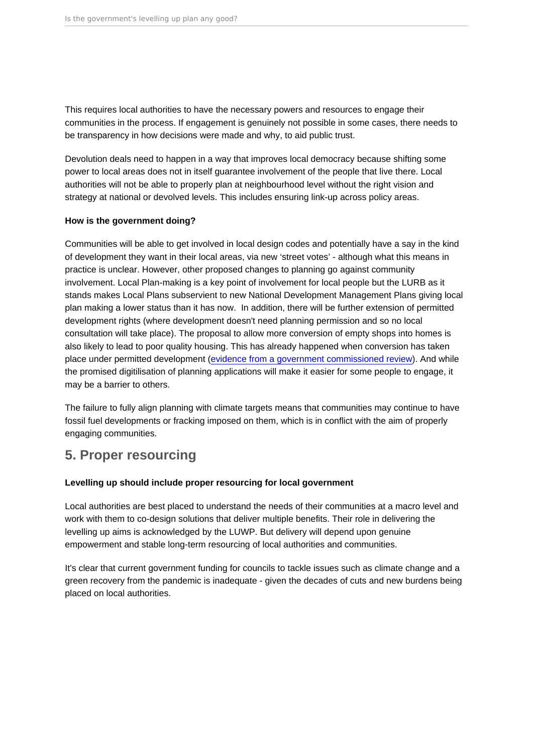<span id="page-9-0"></span>This requires local authorities to have the necessary powers and resources to engage their communities in the process. If engagement is genuinely not possible in some cases, there needs to be transparency in how decisions were made and why, to aid public trust.

Devolution deals need to happen in a way that improves local democracy because shifting some power to local areas does not in itself guarantee involvement of the people that live there. Local authorities will not be able to properly plan at neighbourhood level without the right vision and strategy at national or devolved levels. This includes ensuring link-up across policy areas.

#### How is the government doing?

Communities will be able to get involved in local design codes and potentially have a say in the kind of development they want in their local areas, via new 'street votes' - although what this means in practice is unclear. However, other proposed changes to planning go against community involvement. Local Plan-making is a key point of involvement for local people but the LURB as it stands makes Local Plans subservient to new National Development Management Plans giving local plan making a lower status than it has now. In addition, there will be further extension of permitted development rights (where development doesn't need planning permission and so no local consultation will take place). The proposal to allow more conversion of empty shops into homes is also likely to lead to poor quality housing. This has already happened when conversion has taken place under permitted development ([evidence from a government commissioned review\)](https://www.insidehousing.co.uk/news/news/permitted-development-creates-worse-quality-homes-says-government-commissioned-report-67242#:~:text=government-commissioned report-,Permitted development creates ). And while the promised digitilisation of planning applications will make it easier for some people to engage, it may be a barrier to others.

The failure to fully align planning with climate targets means that communities may continue to have fossil fuel developments or fracking imposed on them, which is in conflict with the aim of properly engaging communities.

### 5. Proper resourcing

Levelling up should include proper resourcing for local government

Local authorities are best placed to understand the needs of their communities at a macro level and work with them to co-design solutions that deliver multiple benefits. Their role in delivering the levelling up aims is acknowledged by the LUWP. But delivery will depend upon genuine empowerment and stable long-term resourcing of local authorities and communities.

It's clear that current government funding for councils to tackle issues such as climate change and a green recovery from the pandemic is inadequate - given the decades of cuts and new burdens being placed on local authorities.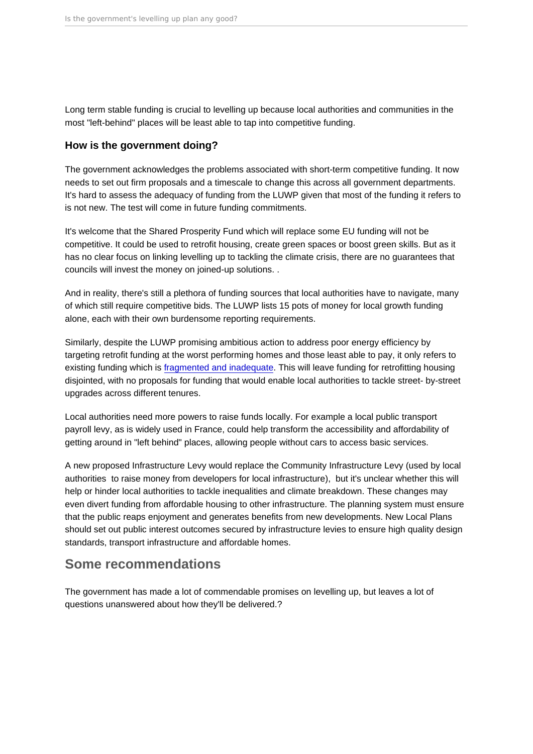<span id="page-10-0"></span>Long term stable funding is crucial to levelling up because local authorities and communities in the most "left-behind" places will be least able to tap into competitive funding.

#### How is the government doing?

The government acknowledges the problems associated with short-term competitive funding. It now needs to set out firm proposals and a timescale to change this across all government departments. It's hard to assess the adequacy of funding from the LUWP given that most of the funding it refers to is not new. The test will come in future funding commitments.

It's welcome that the Shared Prosperity Fund which will replace some EU funding will not be competitive. It could be used to retrofit housing, create green spaces or boost green skills. But as it has no clear focus on linking levelling up to tackling the climate crisis, there are no guarantees that councils will invest the money on joined-up solutions. .

And in reality, there's still a plethora of funding sources that local authorities have to navigate, many of which still require competitive bids. The LUWP lists 15 pots of money for local growth funding alone, each with their own burdensome reporting requirements.

Similarly, despite the LUWP promising ambitious action to address poor energy efficiency by targeting retrofit funding at the worst performing homes and those least able to pay, it only refers to existing funding which is [fragmented and inadequate.](https://www.adeptnet.org.uk/news/good-start-councils-still-need-more-long-term-certainty-blueprint-coalition-response-heat-and) This will leave funding for retrofitting housing disjointed, with no proposals for funding that would enable local authorities to tackle street- by-street upgrades across different tenures.

Local authorities need more powers to raise funds locally. For example a local public transport payroll levy, as is widely used in France, could help transform the accessibility and affordability of getting around in "left behind" places, allowing people without cars to access basic services.

A new proposed Infrastructure Levy would replace the Community Infrastructure Levy (used by local authorities to raise money from developers for local infrastructure), but it's unclear whether this will help or hinder local authorities to tackle inequalities and climate breakdown. These changes may even divert funding from affordable housing to other infrastructure. The planning system must ensure that the public reaps enjoyment and generates benefits from new developments. New Local Plans should set out public interest outcomes secured by infrastructure levies to ensure high quality design standards, transport infrastructure and affordable homes.

### Some recommendations

The government has made a lot of commendable promises on levelling up, but leaves a lot of questions unanswered about how they'll be delivered.?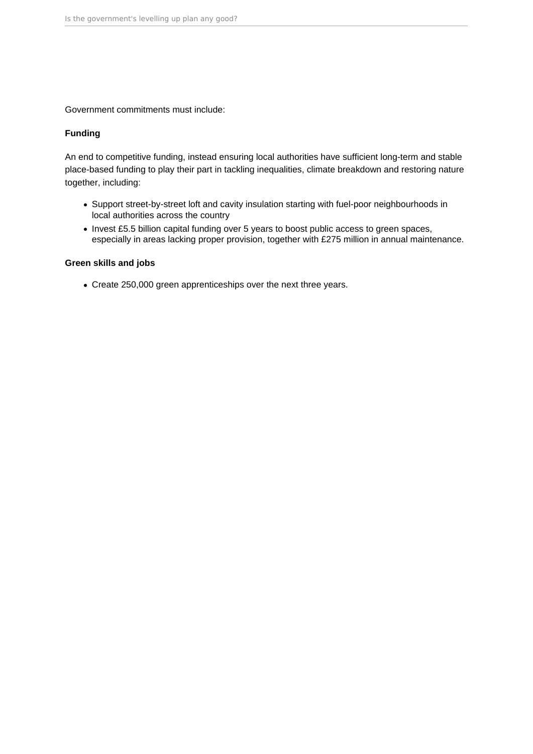Government commitments must include:

### **Funding**

An end to competitive funding, instead ensuring local authorities have sufficient long-term and stable place-based funding to play their part in tackling inequalities, climate breakdown and restoring nature together, including:

- Support street-by-street loft and cavity insulation starting with fuel-poor neighbourhoods in local authorities across the country
- Invest £5.5 billion capital funding over 5 years to boost public access to green spaces, especially in areas lacking proper provision, together with £275 million in annual maintenance.

### **Green skills and jobs**

Create 250,000 green apprenticeships over the next three years.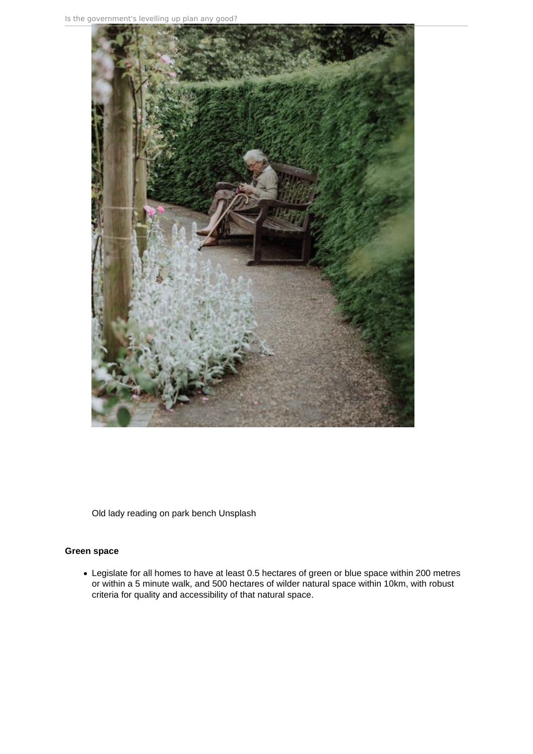

Old lady reading on park bench Unsplash

### **Green space**

Legislate for all homes to have at least 0.5 hectares of green or blue space within 200 metres or within a 5 minute walk, and 500 hectares of wilder natural space within 10km, with robust criteria for quality and accessibility of that natural space.